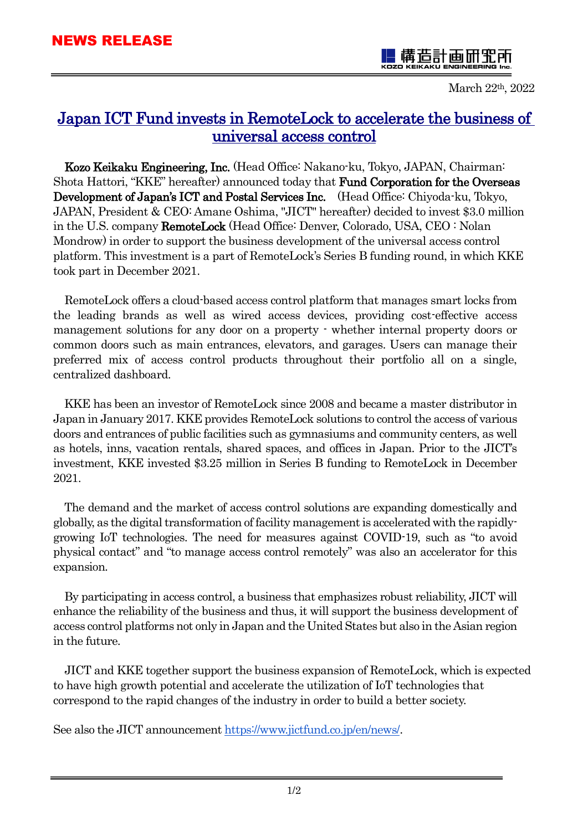Ī.

-

造計曲机

March 22th, 2022

# Japan ICT Fund invests in RemoteLock to accelerate the business of universal access control

Kozo Keikaku Engineering, Inc. (Head Office: Nakano-ku, Tokyo, JAPAN, Chairman: Shota Hattori, "KKE" hereafter) announced today that Fund Corporation for the Overseas Development of Japan's ICT and Postal Services Inc. (Head Office: Chiyoda-ku, Tokyo, JAPAN, President & CEO: Amane Oshima, "JICT" hereafter) decided to invest \$3.0 million in the U.S. company RemoteLock (Head Office: Denver, Colorado, USA, CEO : Nolan Mondrow) in order to support the business development of the universal access control platform. This investment is a part of RemoteLock's Series B funding round, in which KKE took part in December 2021.

RemoteLock offers a cloud-based access control platform that manages smart locks from the leading brands as well as wired access devices, providing cost-effective access management solutions for any door on a property - whether internal property doors or common doors such as main entrances, elevators, and garages. Users can manage their preferred mix of access control products throughout their portfolio all on a single, centralized dashboard.

KKE has been an investor of RemoteLock since 2008 and became a master distributor in Japan in January 2017. KKE provides RemoteLock solutions to control the access of various doors and entrances of public facilities such as gymnasiums and community centers, as well as hotels, inns, vacation rentals, shared spaces, and offices in Japan. Prior to the JICT's investment, KKE invested \$3.25 million in Series B funding to RemoteLock in December 2021.

The demand and the market of access control solutions are expanding domestically and globally, as the digital transformation of facility management is accelerated with the rapidlygrowing IoT technologies. The need for measures against COVID-19, such as "to avoid physical contact" and "to manage access control remotely" was also an accelerator for this expansion.

By participating in access control, a business that emphasizes robust reliability, JICT will enhance the reliability of the business and thus, it will support the business development of access control platforms not only in Japan and the United States but also in the Asian region in the future.

JICT and KKE together support the business expansion of RemoteLock, which is expected to have high growth potential and accelerate the utilization of IoT technologies that correspond to the rapid changes of the industry in order to build a better society.

See also the JICT announcement [https://www.jictfund.co.jp/en/news/.](https://www.jictfund.co.jp/en/news/)